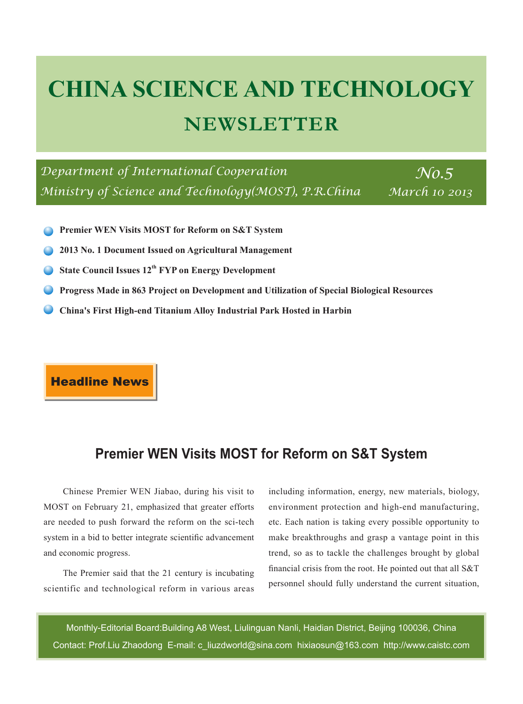# **CHINA SCIENCE AND TECHNOLOGY NEWSLETTER**

*Department of International Cooperation* No.5 *Ministry of Science and Technology(MOST), P.R.China* 

*March 10 2013*

- **Premier WEN Visits MOST for Reform on S&T System**
- **2013 No. 1 Document Issued on Agricultural Management**
- **State Council Issues 12th FYP on Energy Development**
- **Progress Made in 863 Project on Development and Utilization of Special Biological Resources**
- **China's First High-end Titanium Alloy Industrial Park Hosted in Harbin**

**Headline News** 

# **Premier WEN Visits MOST for Reform on S&T System**

Chinese Premier WEN Jiabao, during his visit to MOST on February 21, emphasized that greater efforts are needed to push forward the reform on the sci-tech system in a bid to better integrate scientific advancement and economic progress.

The Premier said that the 21 century is incubating scientific and technological reform in various areas including information, energy, new materials, biology, environment protection and high-end manufacturing, etc. Each nation is taking every possible opportunity to make breakthroughs and grasp a vantage point in this trend, so as to tackle the challenges brought by global financial crisis from the root. He pointed out that all S&T personnel should fully understand the current situation,

Monthly-Editorial Board:Building A8 West, Liulinguan Nanli, Haidian District, Beijing 100036, China Contact: Prof.Liu Zhaodong E-mail: c\_liuzdworld@sina.com hixiaosun@163.com http://www.caistc.com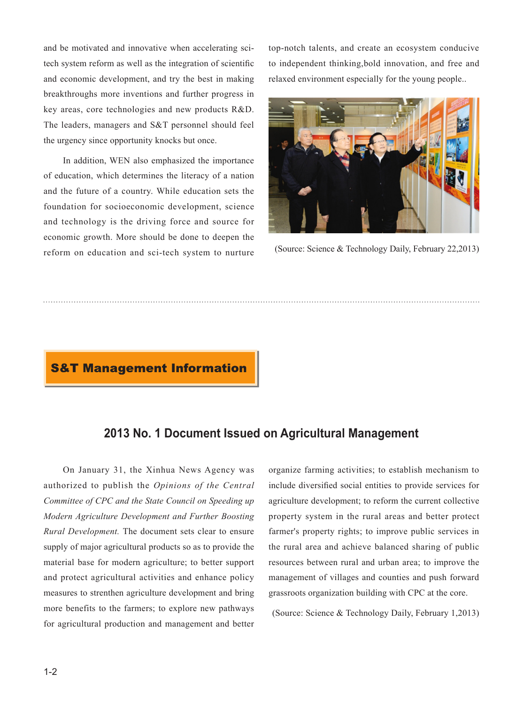and be motivated and innovative when accelerating scitech system reform as well as the integration of scientific and economic development, and try the best in making breakthroughs more inventions and further progress in key areas, core technologies and new products R&D. The leaders, managers and S&T personnel should feel the urgency since opportunity knocks but once.

In addition, WEN also emphasized the importance of education, which determines the literacy of a nation and the future of a country. While education sets the foundation for socioeconomic development, science and technology is the driving force and source for economic growth. More should be done to deepen the reform on education and sci-tech system to nurture top-notch talents, and create an ecosystem conducive to independent thinking,bold innovation, and free and relaxed environment especially for the young people..



(Source: Science & Technology Daily, February 22,2013)

#### **S&T Management Information**

### **2013 No. 1 Document Issued on Agricultural Management**

On January 31, the Xinhua News Agency was authorized to publish the *Opinions of the Central Committee of CPC and the State Council on Speeding up Modern Agriculture Development and Further Boosting Rural Development.* The document sets clear to ensure supply of major agricultural products so as to provide the material base for modern agriculture; to better support and protect agricultural activities and enhance policy measures to strenthen agriculture development and bring more benefits to the farmers; to explore new pathways for agricultural production and management and better organize farming activities; to establish mechanism to include diversified social entities to provide services for agriculture development; to reform the current collective property system in the rural areas and better protect farmer's property rights; to improve public services in the rural area and achieve balanced sharing of public resources between rural and urban area; to improve the management of villages and counties and push forward grassroots organization building with CPC at the core.

(Source: Science & Technology Daily, February 1,2013)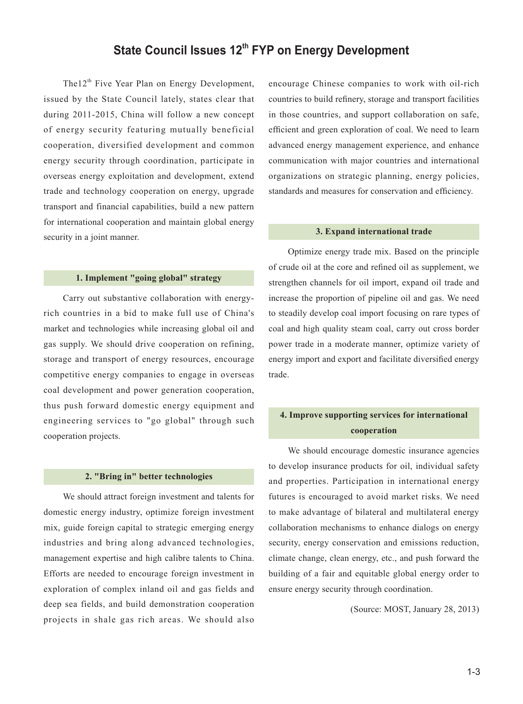# **State Council Issues 12<sup>th</sup> FYP on Energy Development**

The12<sup>th</sup> Five Year Plan on Energy Development, issued by the State Council lately, states clear that during 2011-2015, China will follow a new concept of energy security featuring mutually beneficial cooperation, diversified development and common energy security through coordination, participate in overseas energy exploitation and development, extend trade and technology cooperation on energy, upgrade transport and financial capabilities, build a new pattern for international cooperation and maintain global energy security in a joint manner.

#### **1. Implement "going global" strategy**

Carry out substantive collaboration with energyrich countries in a bid to make full use of China's market and technologies while increasing global oil and gas supply. We should drive cooperation on refining, storage and transport of energy resources, encourage competitive energy companies to engage in overseas coal development and power generation cooperation, thus push forward domestic energy equipment and engineering services to "go global" through such cooperation projects.

#### **2. "Bring in" better technologies**

We should attract foreign investment and talents for domestic energy industry, optimize foreign investment mix, guide foreign capital to strategic emerging energy industries and bring along advanced technologies, management expertise and high calibre talents to China. Efforts are needed to encourage foreign investment in exploration of complex inland oil and gas fields and deep sea fields, and build demonstration cooperation projects in shale gas rich areas. We should also

encourage Chinese companies to work with oil-rich countries to build refinery, storage and transport facilities in those countries, and support collaboration on safe, efficient and green exploration of coal. We need to learn advanced energy management experience, and enhance communication with major countries and international organizations on strategic planning, energy policies, standards and measures for conservation and efficiency.

#### **3. Expand international trade**

Optimize energy trade mix. Based on the principle of crude oil at the core and refined oil as supplement, we strengthen channels for oil import, expand oil trade and increase the proportion of pipeline oil and gas. We need to steadily develop coal import focusing on rare types of coal and high quality steam coal, carry out cross border power trade in a moderate manner, optimize variety of energy import and export and facilitate diversified energy trade.

#### **4. Improve supporting services for international cooperation**

We should encourage domestic insurance agencies to develop insurance products for oil, individual safety and properties. Participation in international energy futures is encouraged to avoid market risks. We need to make advantage of bilateral and multilateral energy collaboration mechanisms to enhance dialogs on energy security, energy conservation and emissions reduction, climate change, clean energy, etc., and push forward the building of a fair and equitable global energy order to ensure energy security through coordination.

(Source: MOST, January 28, 2013)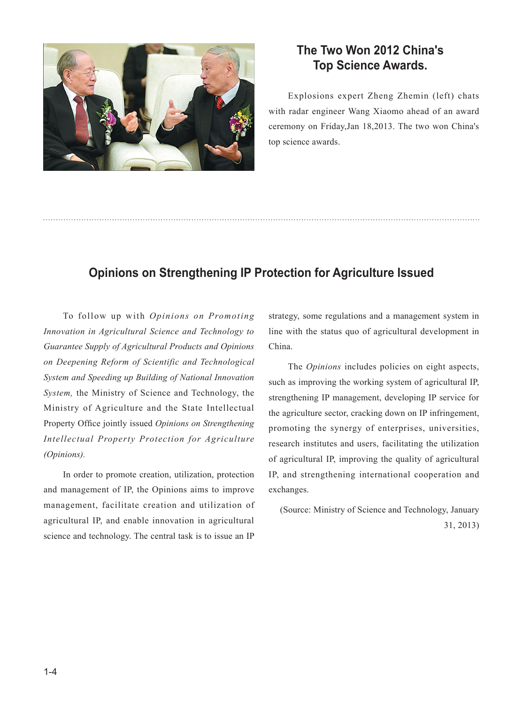

# **The Two Won 2012 China's Top Science Awards.**

Explosions expert Zheng Zhemin (left) chats with radar engineer Wang Xiaomo ahead of an award ceremony on Friday,Jan 18,2013. The two won China's top science awards.

# **Opinions on Strengthening IP Protection for Agriculture Issued**

To follow up with *Opinions on Promoting Innovation in Agricultural Science and Technology to Guarantee Supply of Agricultural Products and Opinions on Deepening Reform of Scientific and Technological System and Speeding up Building of National Innovation System,* the Ministry of Science and Technology, the Ministry of Agriculture and the State Intellectual Property Office jointly issued *Opinions on Strengthening Intellectual Property Protection for Agriculture (Opinions).*

In order to promote creation, utilization, protection and management of IP, the Opinions aims to improve management, facilitate creation and utilization of agricultural IP, and enable innovation in agricultural science and technology. The central task is to issue an IP strategy, some regulations and a management system in line with the status quo of agricultural development in China.

The *Opinions* includes policies on eight aspects, such as improving the working system of agricultural IP, strengthening IP management, developing IP service for the agriculture sector, cracking down on IP infringement, promoting the synergy of enterprises, universities, research institutes and users, facilitating the utilization of agricultural IP, improving the quality of agricultural IP, and strengthening international cooperation and exchanges.

 (Source: Ministry of Science and Technology, January 31, 2013)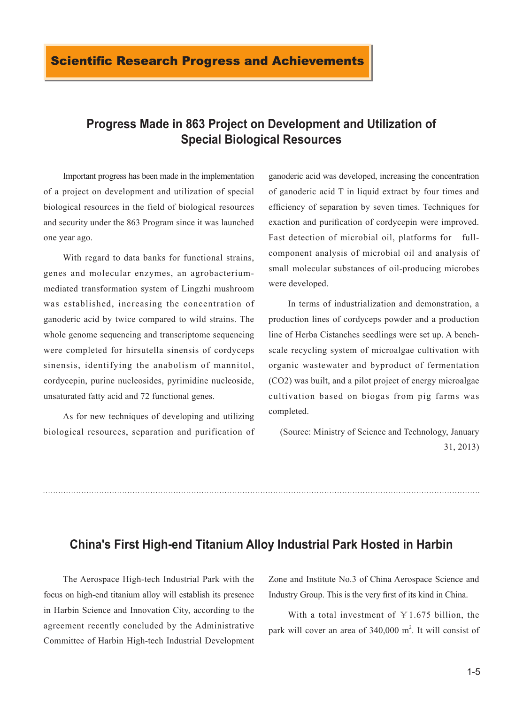# **Progress Made in 863 Project on Development and Utilization of Special Biological Resources**

Important progress has been made in the implementation of a project on development and utilization of special biological resources in the field of biological resources and security under the 863 Program since it was launched one year ago.

With regard to data banks for functional strains, genes and molecular enzymes, an agrobacteriummediated transformation system of Lingzhi mushroom was established, increasing the concentration of ganoderic acid by twice compared to wild strains. The whole genome sequencing and transcriptome sequencing were completed for hirsutella sinensis of cordyceps sinensis, identifying the anabolism of mannitol, cordycepin, purine nucleosides, pyrimidine nucleoside, unsaturated fatty acid and 72 functional genes.

As for new techniques of developing and utilizing biological resources, separation and purification of ganoderic acid was developed, increasing the concentration of ganoderic acid T in liquid extract by four times and efficiency of separation by seven times. Techniques for exaction and purification of cordycepin were improved. Fast detection of microbial oil, platforms for fullcomponent analysis of microbial oil and analysis of small molecular substances of oil-producing microbes were developed.

In terms of industrialization and demonstration, a production lines of cordyceps powder and a production line of Herba Cistanches seedlings were set up. A benchscale recycling system of microalgae cultivation with organic wastewater and byproduct of fermentation (CO2) was built, and a pilot project of energy microalgae cultivation based on biogas from pig farms was completed.

 (Source: Ministry of Science and Technology, January 31, 2013)

### **China's First High-end Titanium Alloy Industrial Park Hosted in Harbin**

The Aerospace High-tech Industrial Park with the focus on high-end titanium alloy will establish its presence in Harbin Science and Innovation City, according to the agreement recently concluded by the Administrative Committee of Harbin High-tech Industrial Development Zone and Institute No.3 of China Aerospace Science and Industry Group. This is the very first of its kind in China.

With a total investment of  $Y1.675$  billion, the park will cover an area of  $340,000$  m<sup>2</sup>. It will consist of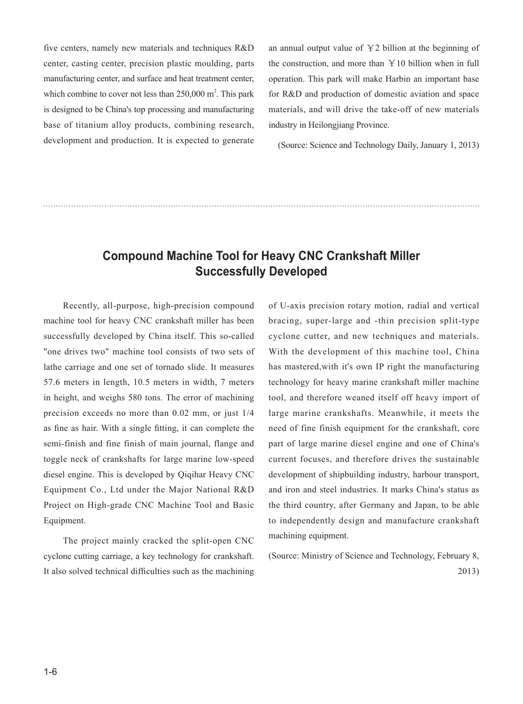five centers, namely new materials and techniques R&D center, casting center, precision plastic moulding, parts manufacturing center, and surface and heat treatment center, which combine to cover not less than  $250,000$  m<sup>2</sup>. This park is designed to be China's top processing and manufacturing base of titanium alloy products, combining research, development and production. It is expected to generate

an annual output value of ¥2 billion at the beginning of the construction, and more than  $Y10$  billion when in full operation. This park will make Harbin an important base for R&D and production of domestic aviation and space materials, and will drive the take-off of new materials industry in Heilongjiang Province.

(Source: Science and Technology Daily, January 1, 2013)

## **Compound Machine Tool for Heavy CNC Crankshaft Miller Successfully Developed**

Recently, all-purpose, high-precision compound machine tool for heavy CNC crankshaft miller has been successfully developed by China itself. This so-called "one drives two" machine tool consists of two sets of lathe carriage and one set of tornado slide. It measures 57.6 meters in length, 10.5 meters in width, 7 meters in height, and weighs 580 tons. The error of machining precision exceeds no more than 0.02 mm, or just 1/4 as fine as hair. With a single fitting, it can complete the semi-finish and fine finish of main journal, flange and toggle neck of crankshafts for large marine low-speed diesel engine. This is developed by Qiqihar Heavy CNC Equipment Co., Ltd under the Major National R&D Project on High-grade CNC Machine Tool and Basic Equipment.

The project mainly cracked the split-open CNC cyclone cutting carriage, a key technology for crankshaft. It also solved technical difficulties such as the machining of U-axis precision rotary motion, radial and vertical bracing, super-large and -thin precision split-type cyclone cutter, and new techniques and materials. With the development of this machine tool, China has mastered,with it's own IP right the manufacturing technology for heavy marine crankshaft miller machine tool, and therefore weaned itself off heavy import of large marine crankshafts. Meanwhile, it meets the need of fine finish equipment for the crankshaft, core part of large marine diesel engine and one of China's current focuses, and therefore drives the sustainable development of shipbuilding industry, harbour transport, and iron and steel industries. It marks China's status as the third country, after Germany and Japan, to be able to independently design and manufacture crankshaft machining equipment.

(Source: Ministry of Science and Technology, February 8, 2013)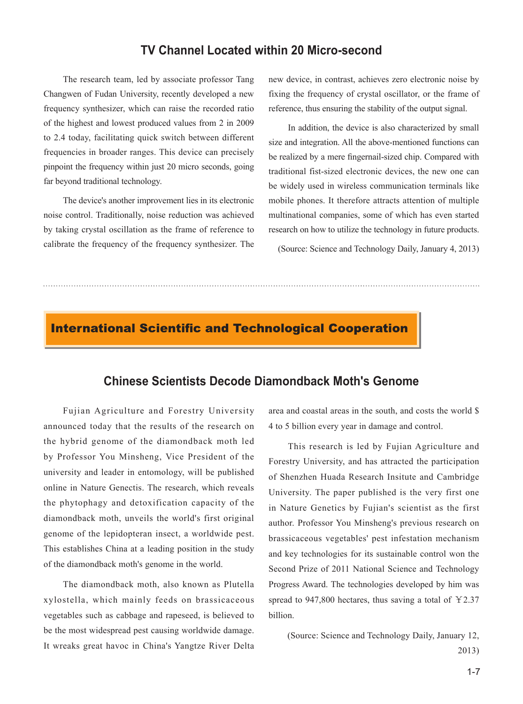#### **TV Channel Located within 20 Micro-second**

The research team, led by associate professor Tang Changwen of Fudan University, recently developed a new frequency synthesizer, which can raise the recorded ratio of the highest and lowest produced values from 2 in 2009 to 2.4 today, facilitating quick switch between different frequencies in broader ranges. This device can precisely pinpoint the frequency within just 20 micro seconds, going far beyond traditional technology.

The device's another improvement lies in its electronic noise control. Traditionally, noise reduction was achieved by taking crystal oscillation as the frame of reference to calibrate the frequency of the frequency synthesizer. The

new device, in contrast, achieves zero electronic noise by fixing the frequency of crystal oscillator, or the frame of reference, thus ensuring the stability of the output signal.

In addition, the device is also characterized by small size and integration. All the above-mentioned functions can be realized by a mere fingernail-sized chip. Compared with traditional fist-sized electronic devices, the new one can be widely used in wireless communication terminals like mobile phones. It therefore attracts attention of multiple multinational companies, some of which has even started research on how to utilize the technology in future products.

(Source: Science and Technology Daily, January 4, 2013)

# **International Scientific and Technological Cooperation**

#### **Chinese Scientists Decode Diamondback Moth's Genome**

Fujian Agriculture and Forestry University announced today that the results of the research on the hybrid genome of the diamondback moth led by Professor You Minsheng, Vice President of the university and leader in entomology, will be published online in Nature Genectis. The research, which reveals the phytophagy and detoxification capacity of the diamondback moth, unveils the world's first original genome of the lepidopteran insect, a worldwide pest. This establishes China at a leading position in the study of the diamondback moth's genome in the world.

The diamondback moth, also known as Plutella xylostella, which mainly feeds on brassicaceous vegetables such as cabbage and rapeseed, is believed to be the most widespread pest causing worldwide damage. It wreaks great havoc in China's Yangtze River Delta

area and coastal areas in the south, and costs the world \$ 4 to 5 billion every year in damage and control.

This research is led by Fujian Agriculture and Forestry University, and has attracted the participation of Shenzhen Huada Research Insitute and Cambridge University. The paper published is the very first one in Nature Genetics by Fujian's scientist as the first author. Professor You Minsheng's previous research on brassicaceous vegetables' pest infestation mechanism and key technologies for its sustainable control won the Second Prize of 2011 National Science and Technology Progress Award. The technologies developed by him was spread to 947,800 hectares, thus saving a total of  $\text{\textless}2.37$ billion.

(Source: Science and Technology Daily, January 12, 2013)